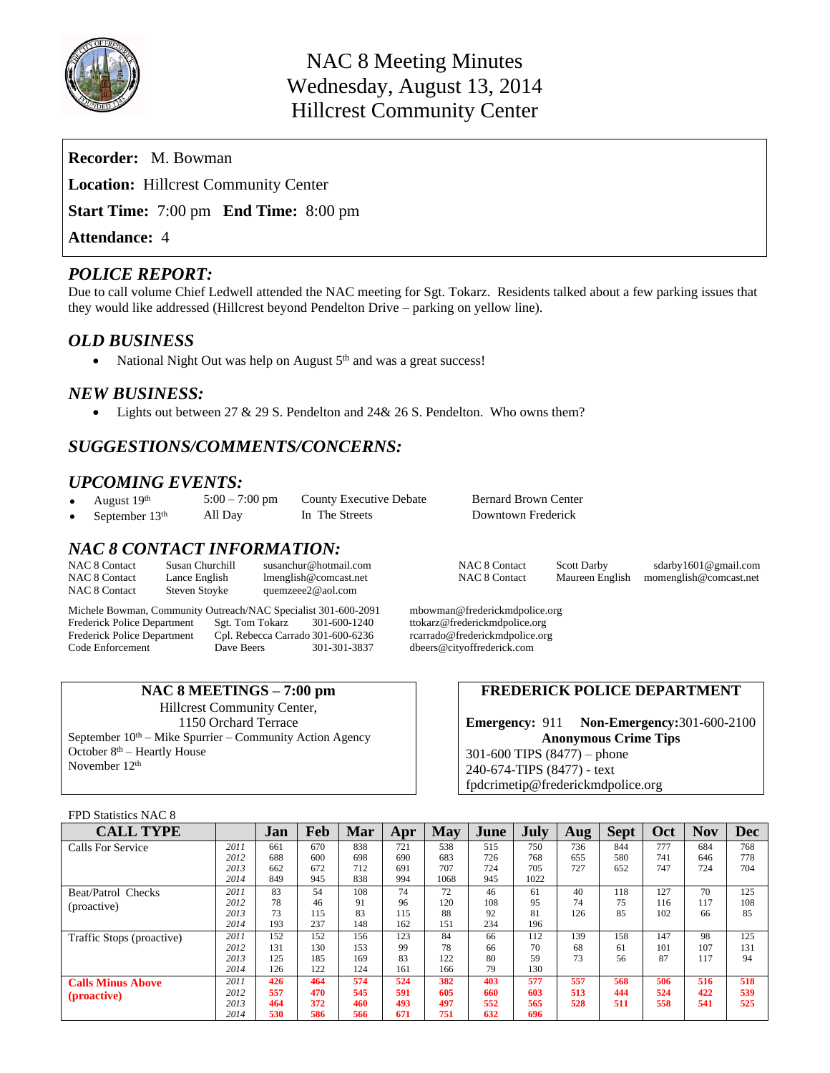

| <b>Recorder:</b> M. Bowman                          |
|-----------------------------------------------------|
| <b>Location:</b> Hillcrest Community Center         |
| <b>Start Time:</b> 7:00 pm <b>End Time:</b> 8:00 pm |
| <b>Attendance: 4</b>                                |
|                                                     |

## *POLICE REPORT:*

Due to call volume Chief Ledwell attended the NAC meeting for Sgt. Tokarz. Residents talked about a few parking issues that they would like addressed (Hillcrest beyond Pendelton Drive – parking on yellow line).

## *OLD BUSINESS*

• National Night Out was help on August  $5<sup>th</sup>$  and was a great success!

## *NEW BUSINESS:*

• Lights out between  $27 \& 29 \text{ S}$ . Pendelton and  $24 \& 26 \text{ S}$ . Pendelton. Who owns them?

## *SUGGESTIONS/COMMENTS/CONCERNS:*

# *UPCOMING EVENTS:*<br>• August 19th 5:00 – 7:00 pm

- 
- 
- 

## *NAC 8 CONTACT INFORMATION:*

| <b>NAC 8 Contact</b> |  |
|----------------------|--|
| <b>NAC 8 Contact</b> |  |
| <b>NAC 8 Contact</b> |  |

Lance English [lmenglish@comcast.net](mailto:lmenglish@comcast.net) NAC 8 Contact Maureen English [momenglish@comcast.net](mailto:momenglish@comcast.net)<br>Steven Stoyke quemzeee2@aol.com [quemzeee2@aol.com](mailto:quemzeee2@aol.com)

Michele Bowman, Community Outreach/NAC Specialist 301-600-2091 mbowman@frederickmdpolice.org<br>Frederick Police Department Sgt. Tom Tokarz 301-600-1240 ttokarz@frederickmdpolice.org Frederick Police Department Sgt. Tom Tokarz 301-600-1240 ttokarz@frederickmdpolice.org Frederick Police Department Cpl. Rebecca Carrado 301-600-6236 rcarrado@frederickmdpolice.org<br>Code Enforcement Dave Beers 301-301-3837 dbeers@cityoffrederick.com

**NAC 8 MEETINGS – 7:00 pm** Hillcrest Community Center, 1150 Orchard Terrace September  $10<sup>th</sup> - Mike Spurrier - Community Action Agency$ October  $8<sup>th</sup>$  – Heartly House November 12th

August 19<sup>th</sup> 5:00 – 7:00 pm County Executive Debate Bernard Brown Center<br>September 13<sup>th</sup> All Day In The Streets Downtown Frederick September 13<sup>th</sup> All Day In The Streets Downtown Frederick

[susanchur@hotmail.com](mailto:susanchur@hotmail.com) NAC 8 Contact Scott Darby sdarby1601@gmail.com Imenglish@comcast.net NAC 8 Contact Maureen English momenglish@comcast.net

dbeers@cityoffrederick.com

#### **FREDERICK POLICE DEPARTMENT**

**Emergency:** 911 **Non-Emergency:**301-600-2100 **Anonymous Crime Tips** 301-600 TIPS (8477) – phone 240-674-TIPS (8477) - text [fpdcrimetip@frederickmdpolice.org](mailto:fpdcrimetip@frederickmdpolice.org)

#### FPD Statistics NAC 8

| <b>CALL TYPE</b>          |      | Jan | Feb | <b>Mar</b> | Apr | May  | June | July | Aug | <b>Sept</b> | <b>Oct</b> | <b>Nov</b> | <b>Dec</b> |
|---------------------------|------|-----|-----|------------|-----|------|------|------|-----|-------------|------------|------------|------------|
| Calls For Service         | 2011 | 661 | 670 | 838        | 721 | 538  | 515  | 750  | 736 | 844         | 777        | 684        | 768        |
|                           | 2012 | 688 | 600 | 698        | 690 | 683  | 726  | 768  | 655 | 580         | 741        | 646        | 778        |
|                           | 2013 | 662 | 672 | 712        | 691 | 707  | 724  | 705  | 727 | 652         | 747        | 724        | 704        |
|                           | 2014 | 849 | 945 | 838        | 994 | 1068 | 945  | 1022 |     |             |            |            |            |
| Beat/Patrol Checks        | 2011 | 83  | 54  | 108        | 74  | 72   | 46   | 61   | 40  | 118         | 127        | 70         | 125        |
| (proactive)               | 2012 | 78  | 46  | 91         | 96  | 120  | 108  | 95   | 74  | 75          | 116        | 117        | 108        |
|                           | 2013 | 73  | 115 | 83         | 115 | 88   | 92   | 81   | 126 | 85          | 102        | 66         | 85         |
|                           | 2014 | 193 | 237 | 148        | 162 | 151  | 234  | 196  |     |             |            |            |            |
| Traffic Stops (proactive) | 2011 | 152 | 152 | 156        | 123 | 84   | 66   | 112  | 139 | 158         | 147        | 98         | 125        |
|                           | 2012 | 131 | 130 | 153        | 99  | 78   | 66   | 70   | 68  | 61          | 101        | 107        | 131        |
|                           | 2013 | 125 | 185 | 169        | 83  | 122  | 80   | 59   | 73  | 56          | 87         | 117        | 94         |
|                           | 2014 | 126 | 122 | 124        | 161 | 166  | 79   | 130  |     |             |            |            |            |
| <b>Calls Minus Above</b>  | 2011 | 426 | 464 | 574        | 524 | 382  | 403  | 577  | 557 | 568         | 506        | 516        | 518        |
| (proactive)               | 2012 | 557 | 470 | 545        | 591 | 605  | 660  | 603  | 513 | 444         | 524        | 422        | 539        |
|                           | 2013 | 464 | 372 | 460        | 493 | 497  | 552  | 565  | 528 | 511         | 558        | 541        | 525        |
|                           | 2014 | 530 | 586 | 566        | 671 | 751  | 632  | 696  |     |             |            |            |            |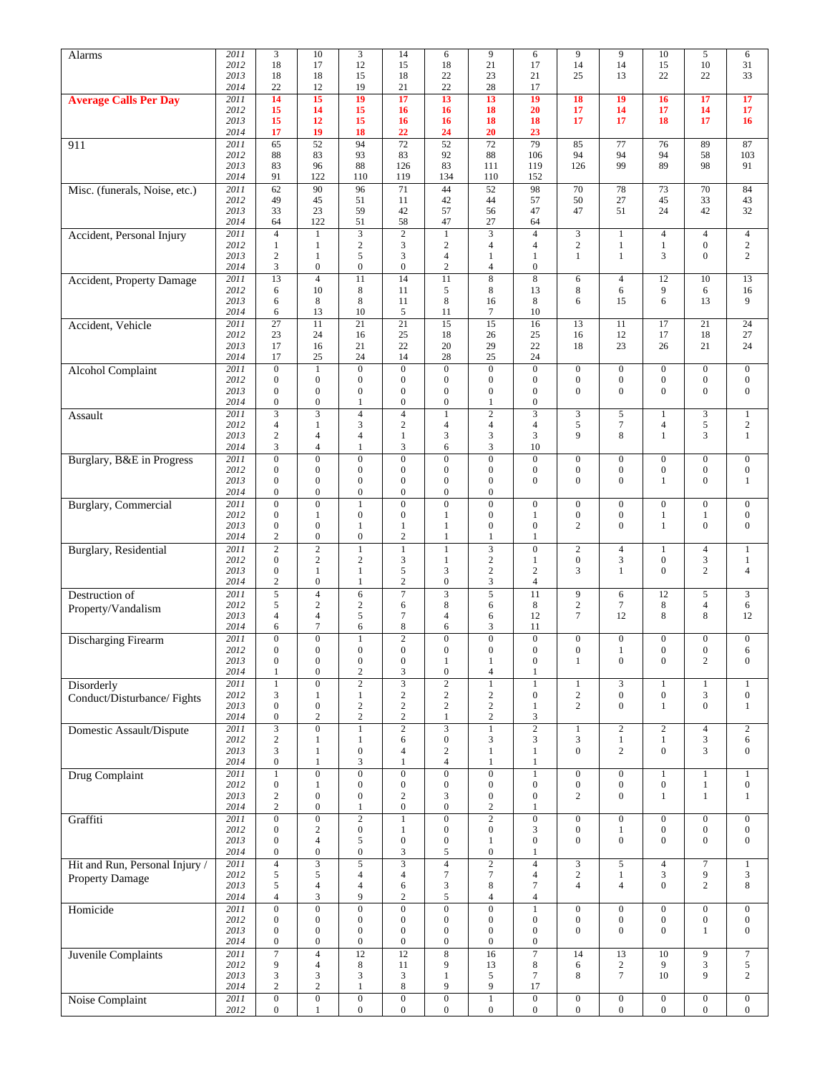| Alarms                                          | 2011         | 3                                    | 10                                   | $\mathfrak{Z}$                       | 14                                        | 6                                  | 9                                    | 6                                    | 9                                    | 9                                    | 10                                   | 5                                    | 6                                |
|-------------------------------------------------|--------------|--------------------------------------|--------------------------------------|--------------------------------------|-------------------------------------------|------------------------------------|--------------------------------------|--------------------------------------|--------------------------------------|--------------------------------------|--------------------------------------|--------------------------------------|----------------------------------|
|                                                 | 2012<br>2013 | 18<br>18                             | 17<br>18                             | 12<br>15                             | 15<br>18                                  | 18<br>22                           | 21<br>23                             | 17<br>21                             | 14<br>25                             | 14<br>13                             | 15<br>22                             | 10<br>22                             | 31<br>33                         |
|                                                 | 2014         | 22                                   | 12                                   | 19                                   | 21                                        | 22                                 | 28                                   | 17                                   |                                      |                                      |                                      |                                      |                                  |
| <b>Average Calls Per Day</b>                    | 2011         | 14                                   | 15                                   | 19                                   | 17                                        | 13                                 | 13                                   | 19                                   | 18                                   | 19                                   | 16                                   | 17                                   | 17                               |
|                                                 | 2012<br>2013 | 15<br>15                             | 14<br>12                             | 15<br>15                             | 16<br>16                                  | 16<br>16                           | 18<br>18                             | 20<br>18                             | 17<br>17                             | 14<br>17                             | 17<br>18                             | 14<br>17                             | 17<br>16                         |
|                                                 | 2014         | 17                                   | 19                                   | 18                                   | 22                                        | 24                                 | 20                                   | 23                                   |                                      |                                      |                                      |                                      |                                  |
| 911                                             | 2011         | 65                                   | 52                                   | 94                                   | $\overline{72}$                           | $\overline{52}$                    | 72                                   | 79                                   | 85                                   | 77                                   | 76                                   | 89                                   | 87                               |
|                                                 | 2012         | 88                                   | 83                                   | 93                                   | 83                                        | 92                                 | 88                                   | 106                                  | 94                                   | 94                                   | 94                                   | 58                                   | 103                              |
|                                                 | 2013<br>2014 | 83<br>91                             | 96<br>122                            | 88<br>110                            | 126<br>119                                | 83<br>134                          | 111<br>110                           | 119<br>152                           | 126                                  | 99                                   | 89                                   | 98                                   | 91                               |
| Misc. (funerals, Noise, etc.)                   | 2011         | 62                                   | 90                                   | 96                                   | 71                                        | 44                                 | 52                                   | 98                                   | 70                                   | 78                                   | 73                                   | 70                                   | 84                               |
|                                                 | 2012         | 49                                   | 45                                   | 51                                   | 11                                        | 42                                 | 44                                   | 57                                   | 50                                   | 27                                   | 45                                   | 33                                   | 43                               |
|                                                 | 2013<br>2014 | 33<br>64                             | 23<br>122                            | 59<br>51                             | 42<br>58                                  | 57<br>47                           | 56<br>27                             | 47<br>64                             | 47                                   | 51                                   | 24                                   | 42                                   | 32                               |
| Accident, Personal Injury                       | 2011         | $\overline{4}$                       | $\mathbf{1}$                         | $\overline{3}$                       | $\overline{2}$                            | $\mathbf{1}$                       | $\overline{\mathbf{3}}$              | $\overline{4}$                       | $\mathfrak{Z}$                       | $\mathbf{1}$                         | $\overline{4}$                       | $\overline{4}$                       | $\overline{4}$                   |
|                                                 | 2012         | 1                                    | 1                                    | $\sqrt{2}$                           | $\mathfrak{Z}$                            | $\sqrt{2}$                         | $\overline{4}$                       | 4                                    | $\mathbf{2}$                         | $\mathbf{1}$                         | $\mathbf{1}$                         | $\boldsymbol{0}$                     | $\mathbf{2}$                     |
|                                                 | 2013<br>2014 | $\mathfrak{2}$<br>$\mathfrak{Z}$     | $\mathbf{1}$<br>$\boldsymbol{0}$     | 5<br>$\boldsymbol{0}$                | 3<br>$\boldsymbol{0}$                     | $\overline{4}$<br>$\sqrt{2}$       | $\mathbf{1}$<br>4                    | $\mathbf{1}$<br>$\mathbf{0}$         | $\mathbf{1}$                         | $\mathbf{1}$                         | 3                                    | $\boldsymbol{0}$                     | $\overline{c}$                   |
| Accident, Property Damage                       | 2011         | 13                                   | $\overline{4}$                       | 11                                   | 14                                        | 11                                 | $\overline{8}$                       | $\overline{\bf 8}$                   | 6                                    | $\overline{4}$                       | 12                                   | 10                                   | 13                               |
|                                                 | 2012         | 6                                    | 10                                   | $\,$ 8 $\,$                          | 11                                        | 5                                  | 8                                    | 13                                   | $\,8\,$                              | 6                                    | 9                                    | 6                                    | 16                               |
|                                                 | 2013         | 6                                    | 8                                    | 8                                    | 11                                        | 8                                  | 16                                   | 8                                    | 6                                    | 15                                   | 6                                    | 13                                   | 9                                |
| Accident, Vehicle                               | 2014<br>2011 | 6<br>$\overline{27}$                 | 13<br>11                             | 10<br>$\overline{21}$                | 5<br>$\overline{21}$                      | 11<br>$\overline{15}$              | 7<br>15                              | 10<br>16                             | 13                                   | 11                                   | 17                                   | $\overline{21}$                      | 24                               |
|                                                 | 2012         | 23                                   | 24                                   | 16                                   | 25                                        | 18                                 | 26                                   | 25                                   | 16                                   | 12                                   | 17                                   | 18                                   | 27                               |
|                                                 | 2013         | 17                                   | 16                                   | 21                                   | 22                                        | 20                                 | 29                                   | 22                                   | 18                                   | 23                                   | 26                                   | 21                                   | 24                               |
|                                                 | 2014         | 17                                   | 25                                   | 24                                   | 14                                        | 28                                 | 25                                   | 24                                   |                                      |                                      |                                      |                                      |                                  |
| <b>Alcohol Complaint</b>                        | 2011<br>2012 | $\boldsymbol{0}$<br>$\boldsymbol{0}$ | $\mathbf{1}$<br>$\boldsymbol{0}$     | $\overline{0}$<br>$\boldsymbol{0}$   | $\overline{0}$<br>$\boldsymbol{0}$        | $\overline{0}$<br>$\mathbf{0}$     | $\boldsymbol{0}$<br>$\boldsymbol{0}$ | $\overline{0}$<br>$\mathbf{0}$       | $\boldsymbol{0}$<br>$\boldsymbol{0}$ | $\boldsymbol{0}$<br>$\boldsymbol{0}$ | $\mathbf{0}$<br>$\boldsymbol{0}$     | $\boldsymbol{0}$<br>$\boldsymbol{0}$ | $\mathbf{0}$<br>$\boldsymbol{0}$ |
|                                                 | 2013         | $\mathbf{0}$                         | $\overline{0}$                       | $\overline{0}$                       | $\mathbf{0}$                              | $\mathbf{0}$                       | $\mathbf{0}$                         | $\overline{0}$                       | $\overline{0}$                       | $\mathbf{0}$                         | $\mathbf{0}$                         | $\mathbf{0}$                         | $\boldsymbol{0}$                 |
|                                                 | 2014         | $\boldsymbol{0}$                     | $\boldsymbol{0}$                     | 1                                    | $\boldsymbol{0}$                          | $\mathbf{0}$                       | 1                                    | $\mathbf{0}$                         |                                      |                                      |                                      |                                      |                                  |
| Assault                                         | 2011         | 3                                    | $\overline{\mathbf{3}}$              | $\overline{4}$<br>3                  | $\overline{4}$<br>$\mathbf{2}$            | $\mathbf{1}$                       | $\sqrt{2}$<br>$\overline{4}$         | $\overline{3}$<br>$\overline{4}$     | $\mathfrak{Z}$<br>5                  | $\sqrt{5}$<br>$\tau$                 | $\mathbf{1}$                         | 3                                    | $\mathbf{1}$<br>$\overline{c}$   |
|                                                 | 2012<br>2013 | $\overline{4}$<br>$\overline{2}$     | 1<br>$\overline{4}$                  | $\overline{4}$                       | 1                                         | $\overline{4}$<br>$\mathfrak{Z}$   | 3                                    | 3                                    | 9                                    | 8                                    | $\overline{4}$<br>$\mathbf{1}$       | 5<br>3                               | $\mathbf{1}$                     |
|                                                 | 2014         | 3                                    | $\overline{4}$                       | $\mathbf{1}$                         | 3                                         | 6                                  | 3                                    | 10                                   |                                      |                                      |                                      |                                      |                                  |
| Burglary, B&E in Progress                       | 2011         | $\mathbf{0}$                         | $\mathbf{0}$                         | $\boldsymbol{0}$                     | $\overline{0}$                            | $\mathbf{0}$                       | $\boldsymbol{0}$                     | $\boldsymbol{0}$                     | $\boldsymbol{0}$                     | $\boldsymbol{0}$                     | $\boldsymbol{0}$                     | $\boldsymbol{0}$                     | $\mathbf{0}$                     |
|                                                 | 2012<br>2013 | $\boldsymbol{0}$<br>$\mathbf{0}$     | $\mathbf{0}$<br>$\mathbf{0}$         | $\boldsymbol{0}$<br>$\boldsymbol{0}$ | $\boldsymbol{0}$<br>$\boldsymbol{0}$      | $\boldsymbol{0}$<br>$\mathbf{0}$   | $\boldsymbol{0}$<br>$\boldsymbol{0}$ | $\mathbf{0}$<br>$\mathbf{0}$         | $\boldsymbol{0}$<br>$\mathbf{0}$     | $\boldsymbol{0}$<br>$\mathbf{0}$     | $\boldsymbol{0}$<br>$\mathbf{1}$     | $\boldsymbol{0}$<br>$\boldsymbol{0}$ | $\boldsymbol{0}$<br>$\mathbf{1}$ |
|                                                 | 2014         | $\mathbf{0}$                         | $\mathbf{0}$                         | $\boldsymbol{0}$                     | $\mathbf{0}$                              | $\mathbf{0}$                       | $\boldsymbol{0}$                     |                                      |                                      |                                      |                                      |                                      |                                  |
| <b>Burglary</b> , Commercial                    | 2011         | $\boldsymbol{0}$                     | $\boldsymbol{0}$                     | $\mathbf{1}$                         | $\boldsymbol{0}$                          | $\boldsymbol{0}$                   | $\boldsymbol{0}$                     | $\boldsymbol{0}$                     | $\boldsymbol{0}$                     | $\boldsymbol{0}$                     | $\boldsymbol{0}$                     | $\boldsymbol{0}$                     | $\mathbf{0}$                     |
|                                                 | 2012         | $\mathbf{0}$                         | 1                                    | $\boldsymbol{0}$                     | $\boldsymbol{0}$                          | 1                                  | $\boldsymbol{0}$                     | 1                                    | $\boldsymbol{0}$                     | $\boldsymbol{0}$                     | 1                                    | 1                                    | $\boldsymbol{0}$                 |
|                                                 | 2013<br>2014 | $\mathbf{0}$<br>$\overline{c}$       | $\mathbf{0}$<br>$\boldsymbol{0}$     | $\mathbf{1}$<br>$\mathbf{0}$         | $\mathbf{1}$<br>$\mathbf{2}$              | $\mathbf{1}$<br>$\mathbf{1}$       | $\boldsymbol{0}$<br>$\mathbf{1}$     | $\mathbf{0}$<br>1                    | $\overline{c}$                       | $\mathbf{0}$                         | $\mathbf{1}$                         | $\boldsymbol{0}$                     | $\overline{0}$                   |
| <b>Burglary</b> , Residential                   | 2011         | $\overline{2}$                       | $\overline{2}$                       | $\mathbf{1}$                         | $\mathbf{1}$                              | $\mathbf{1}$                       |                                      | $\boldsymbol{0}$                     | $\sqrt{2}$                           | $\overline{4}$                       | $\mathbf{1}$                         | $\overline{4}$                       | $\mathbf{1}$                     |
|                                                 | 2012         | $\boldsymbol{0}$                     | $\mathbf{2}$                         | $\overline{c}$                       | 3                                         | $\mathbf{1}$                       | $\sqrt{2}$                           | 1                                    | $\mathbf{0}$                         | $\mathfrak z$                        | $\boldsymbol{0}$                     | 3                                    | $\mathbf{1}$                     |
|                                                 | 2013<br>2014 | $\mathbf{0}$<br>$\sqrt{2}$           | $\mathbf{1}$<br>$\boldsymbol{0}$     | $\mathbf{1}$<br>1                    | 5<br>$\sqrt{2}$                           | 3<br>$\boldsymbol{0}$              | $\sqrt{2}$<br>3                      | $\boldsymbol{2}$<br>$\overline{4}$   | 3                                    | $\mathbf{1}$                         | $\mathbf{0}$                         | $\mathbf{2}$                         | $\overline{4}$                   |
| Destruction of                                  | 2011         | 5                                    | $\overline{4}$                       | 6                                    | $\overline{7}$                            | $\overline{3}$                     | 5                                    | 11                                   | 9                                    | 6                                    | 12                                   | 5                                    | $\overline{3}$                   |
| Property/Vandalism                              | 2012         | 5                                    | $\mathfrak{2}$                       | $\overline{c}$                       | 6                                         | 8                                  | 6                                    | 8                                    | $\mathfrak{2}$                       | 7                                    | 8                                    | 4                                    | 6                                |
|                                                 | 2013         | $\overline{4}$                       | $\overline{4}$                       | 5                                    | $\overline{7}$                            | $\overline{4}$                     | 6                                    | 12                                   | $7\phantom{.0}$                      | 12                                   | 8                                    | 8                                    | 12                               |
| Discharging Firearm                             | 2014<br>2011 | 6<br>$\mathbf{0}$                    | $\tau$<br>$\overline{0}$             | 6<br>$\mathbf{1}$                    | 8<br>$\overline{2}$                       | 6<br>$\mathbf{0}$                  | 3<br>$\overline{0}$                  | 11<br>$\boldsymbol{0}$               | $\boldsymbol{0}$                     | $\boldsymbol{0}$                     | $\boldsymbol{0}$                     | $\boldsymbol{0}$                     | $\boldsymbol{0}$                 |
|                                                 | 2012         | $\mathbf{0}$                         | $\mathbf{0}$                         | $\mathbf{0}$                         | $\mathbf{0}$                              | $\mathbf{0}$                       | $\Omega$                             | $\mathbf{0}$                         | $\mathbf{0}$                         | $\mathbf{1}$                         | $\mathbf{0}$                         | $\mathbf{0}$                         | 6                                |
|                                                 | 2013         | $\boldsymbol{0}$                     | $\boldsymbol{0}$                     | $\boldsymbol{0}$                     | $\boldsymbol{0}$                          | $\mathbf{1}$                       | $\mathbf{1}$                         | $\boldsymbol{0}$                     | 1                                    | $\boldsymbol{0}$                     | $\boldsymbol{0}$                     | $\overline{c}$                       | $\boldsymbol{0}$                 |
|                                                 | 2014<br>2011 | $\mathbf{1}$<br>$\mathbf{1}$         | $\boldsymbol{0}$<br>$\overline{0}$   | $\sqrt{2}$<br>$\overline{2}$         | $\mathfrak{Z}$<br>$\overline{\mathbf{3}}$ | $\boldsymbol{0}$<br>$\overline{2}$ | $\sqrt{4}$<br>$\overline{1}$         | $\mathbf{1}$<br>$\mathbf{1}$         |                                      | $\overline{3}$                       | $\mathbf{1}$                         | $\mathbf{1}$                         |                                  |
| <b>Disorderly</b><br>Conduct/Disturbance/Fights | 2012         | 3                                    | $\mathbf{1}$                         | $\mathbf{1}$                         | $\mathbf{2}$                              | 2                                  | $\boldsymbol{2}$                     | $\boldsymbol{0}$                     | $\mathbf{1}$<br>$\overline{c}$       | $\boldsymbol{0}$                     | $\boldsymbol{0}$                     | 3                                    | $\mathbf{1}$<br>$\boldsymbol{0}$ |
|                                                 | 2013         | $\mathbf{0}$                         | $\boldsymbol{0}$                     | $\sqrt{2}$                           | $\sqrt{2}$                                | 2                                  | $\sqrt{2}$                           | $\mathbf{1}$                         | $\overline{c}$                       | $\boldsymbol{0}$                     | $\mathbf{1}$                         | $\boldsymbol{0}$                     | $1\,$                            |
|                                                 | 2014         | $\boldsymbol{0}$                     | $\boldsymbol{2}$                     | $\sqrt{2}$                           | $\sqrt{2}$                                | $\mathbf{1}$                       | $\boldsymbol{2}$                     | 3                                    |                                      |                                      |                                      |                                      |                                  |
| <b>Domestic Assault/Dispute</b>                 | 2011<br>2012 | $\overline{3}$<br>$\sqrt{2}$         | $\overline{0}$<br>$\mathbf{1}$       | $\overline{1}$<br>$\mathbf{1}$       | $\overline{2}$<br>6                       | $\overline{3}$<br>$\boldsymbol{0}$ | $\,1$<br>$\mathfrak{Z}$              | $\overline{2}$<br>3                  | 1<br>$\mathfrak{Z}$                  | $\overline{2}$<br>$\,1$              | $\overline{2}$<br>$\,1\,$            | $\overline{4}$<br>3                  | $\overline{2}$<br>6              |
|                                                 | 2013         | $\mathfrak{Z}$                       | $\mathbf{1}$                         | $\boldsymbol{0}$                     | $\overline{4}$                            | $\sqrt{2}$                         | $\mathbf{1}$                         | $\mathbf{1}$                         | $\overline{0}$                       | $\overline{c}$                       | $\boldsymbol{0}$                     | 3                                    | $\overline{0}$                   |
|                                                 | 2014         | $\boldsymbol{0}$                     | $\mathbf{1}$                         | $\mathfrak{Z}$                       | $\mathbf{1}$                              | $\overline{4}$                     | $\mathbf{1}$                         | $\mathbf{1}$                         |                                      |                                      |                                      |                                      |                                  |
| <b>Drug Complaint</b>                           | 2011<br>2012 | $\mathbf{1}$<br>$\boldsymbol{0}$     | $\overline{0}$<br>$\mathbf{1}$       | $\overline{0}$<br>$\boldsymbol{0}$   | $\overline{0}$<br>$\boldsymbol{0}$        | $\overline{0}$<br>$\boldsymbol{0}$ | $\overline{0}$<br>$\boldsymbol{0}$   | $\mathbf{1}$<br>$\boldsymbol{0}$     | $\mathbf{0}$<br>$\boldsymbol{0}$     | $\boldsymbol{0}$<br>$\boldsymbol{0}$ | $\mathbf{1}$<br>$\boldsymbol{0}$     | $\mathbf{1}$<br>$\mathbf{1}$         | $\mathbf{1}$<br>$\boldsymbol{0}$ |
|                                                 | 2013         | $\sqrt{2}$                           | $\boldsymbol{0}$                     | $\boldsymbol{0}$                     | $\sqrt{2}$                                | $\mathfrak{Z}$                     | $\boldsymbol{0}$                     | $\mathbf{0}$                         | $\overline{c}$                       | $\boldsymbol{0}$                     | $\mathbf{1}$                         | $\mathbf{1}$                         | $\mathbf{1}$                     |
|                                                 | 2014         | $\overline{c}$                       | $\boldsymbol{0}$                     | $\mathbf{1}$                         | $\boldsymbol{0}$                          | $\mathbf{0}$                       | $\overline{c}$                       | $\mathbf{1}$                         |                                      |                                      |                                      |                                      |                                  |
| Graffiti                                        | 2011         | $\boldsymbol{0}$<br>$\mathbf{0}$     | $\overline{0}$<br>$\overline{c}$     | $\overline{2}$<br>$\boldsymbol{0}$   | $\mathbf{1}$                              | $\overline{0}$<br>$\mathbf{0}$     | $\overline{2}$<br>$\boldsymbol{0}$   | $\boldsymbol{0}$                     | $\boldsymbol{0}$<br>$\mathbf{0}$     | $\overline{0}$                       | $\boldsymbol{0}$<br>$\boldsymbol{0}$ | $\boldsymbol{0}$<br>$\boldsymbol{0}$ | $\mathbf{0}$<br>$\mathbf{0}$     |
|                                                 | 2012<br>2013 | $\boldsymbol{0}$                     | $\overline{4}$                       | 5                                    | 1<br>$\boldsymbol{0}$                     | $\boldsymbol{0}$                   | 1                                    | 3<br>$\boldsymbol{0}$                | $\mathbf{0}$                         | $\mathbf{1}$<br>$\boldsymbol{0}$     | $\boldsymbol{0}$                     | $\boldsymbol{0}$                     | $\boldsymbol{0}$                 |
|                                                 | 2014         | $\boldsymbol{0}$                     | $\boldsymbol{0}$                     | $\boldsymbol{0}$                     | $\mathfrak{Z}$                            | 5                                  | $\boldsymbol{0}$                     | $\mathbf{1}$                         |                                      |                                      |                                      |                                      |                                  |
| Hit and Run, Personal Injury /                  | 2011         | $\overline{4}$                       | $\overline{\mathbf{3}}$              | $\overline{5}$                       | $\overline{\mathbf{3}}$                   | $\overline{4}$                     | $\overline{2}$                       | $\overline{4}$                       | $\ensuremath{\mathsf{3}}$            | 5                                    | $\overline{4}$                       | $\overline{7}$                       | $\mathbf{1}$                     |
| <b>Property Damage</b>                          | 2012<br>2013 | 5<br>5                               | 5<br>$\overline{4}$                  | $\overline{4}$<br>$\overline{4}$     | $\overline{4}$<br>6                       | $\boldsymbol{7}$<br>3              | $\boldsymbol{7}$<br>$\,$ 8 $\,$      | $\overline{4}$<br>$\tau$             | $\sqrt{2}$<br>$\overline{4}$         | $1\,$<br>$\overline{4}$              | 3<br>$\mathbf{0}$                    | 9<br>$\mathbf{2}$                    | $\mathfrak{Z}$<br>8              |
|                                                 | 2014         | $\overline{4}$                       | 3                                    | 9                                    | $\mathbf{2}$                              | 5                                  | $\overline{4}$                       | $\overline{4}$                       |                                      |                                      |                                      |                                      |                                  |
| Homicide                                        | 2011         | $\overline{0}$                       | $\overline{0}$                       | $\overline{0}$                       | $\overline{0}$                            | $\overline{0}$                     | $\overline{0}$                       | $\mathbf{1}$                         | $\boldsymbol{0}$                     | $\boldsymbol{0}$                     | $\boldsymbol{0}$                     | $\overline{0}$                       | $\boldsymbol{0}$                 |
|                                                 | 2012         | $\mathbf{0}$                         | $\boldsymbol{0}$                     | $\boldsymbol{0}$                     | $\boldsymbol{0}$                          | $\mathbf{0}$                       | $\boldsymbol{0}$                     | $\boldsymbol{0}$                     | $\mathbf{0}$                         | $\boldsymbol{0}$                     | $\boldsymbol{0}$                     | $\boldsymbol{0}$                     | $\mathbf{0}$                     |
|                                                 | 2013<br>2014 | $\mathbf{0}$<br>$\boldsymbol{0}$     | $\boldsymbol{0}$<br>$\boldsymbol{0}$ | $\mathbf{0}$<br>$\boldsymbol{0}$     | $\boldsymbol{0}$<br>$\boldsymbol{0}$      | $\mathbf{0}$<br>$\boldsymbol{0}$   | $\boldsymbol{0}$<br>$\boldsymbol{0}$ | $\boldsymbol{0}$<br>$\boldsymbol{0}$ | $\mathbf{0}$                         | $\mathbf{0}$                         | $\boldsymbol{0}$                     | $\mathbf{1}$                         | $\boldsymbol{0}$                 |
| Juvenile Complaints                             | 2011         | $\overline{7}$                       | $\overline{4}$                       | 12                                   | 12                                        | $\overline{\bf 8}$                 | 16                                   | $\overline{7}$                       | 14                                   | 13                                   | 10                                   | $\overline{9}$                       | $\overline{7}$                   |
|                                                 | 2012         | 9                                    | $\overline{4}$                       | $\,8\,$                              | 11                                        | 9                                  | 13                                   | $\,$ 8 $\,$                          | 6                                    | $\overline{c}$                       | 9                                    | 3                                    | $\sqrt{5}$                       |
|                                                 | 2013<br>2014 | $\mathfrak{Z}$<br>$\overline{c}$     | 3<br>$\overline{c}$                  | $\mathfrak{Z}$<br>$\mathbf{1}$       | $\mathfrak{Z}$<br>$\,8\,$                 | $\mathbf{1}$<br>9                  | 5<br>9                               | $\tau$<br>17                         | 8                                    | $7\phantom{.0}$                      | 10                                   | 9                                    | $\mathbf{2}$                     |
| Noise Complaint                                 | 2011         | $\boldsymbol{0}$                     | $\overline{0}$                       | $\overline{0}$                       | $\overline{0}$                            | $\overline{0}$                     | $\,1$                                | $\overline{0}$                       | $\boldsymbol{0}$                     | $\boldsymbol{0}$                     | $\boldsymbol{0}$                     | $\boldsymbol{0}$                     | $\boldsymbol{0}$                 |
|                                                 | 2012         | $\mathbf{0}$                         | $\mathbf{1}$                         | $\boldsymbol{0}$                     | $\boldsymbol{0}$                          | $\boldsymbol{0}$                   | $\boldsymbol{0}$                     | $\boldsymbol{0}$                     | $\boldsymbol{0}$                     | $\boldsymbol{0}$                     | $\boldsymbol{0}$                     | $\boldsymbol{0}$                     | $\mathbf{0}$                     |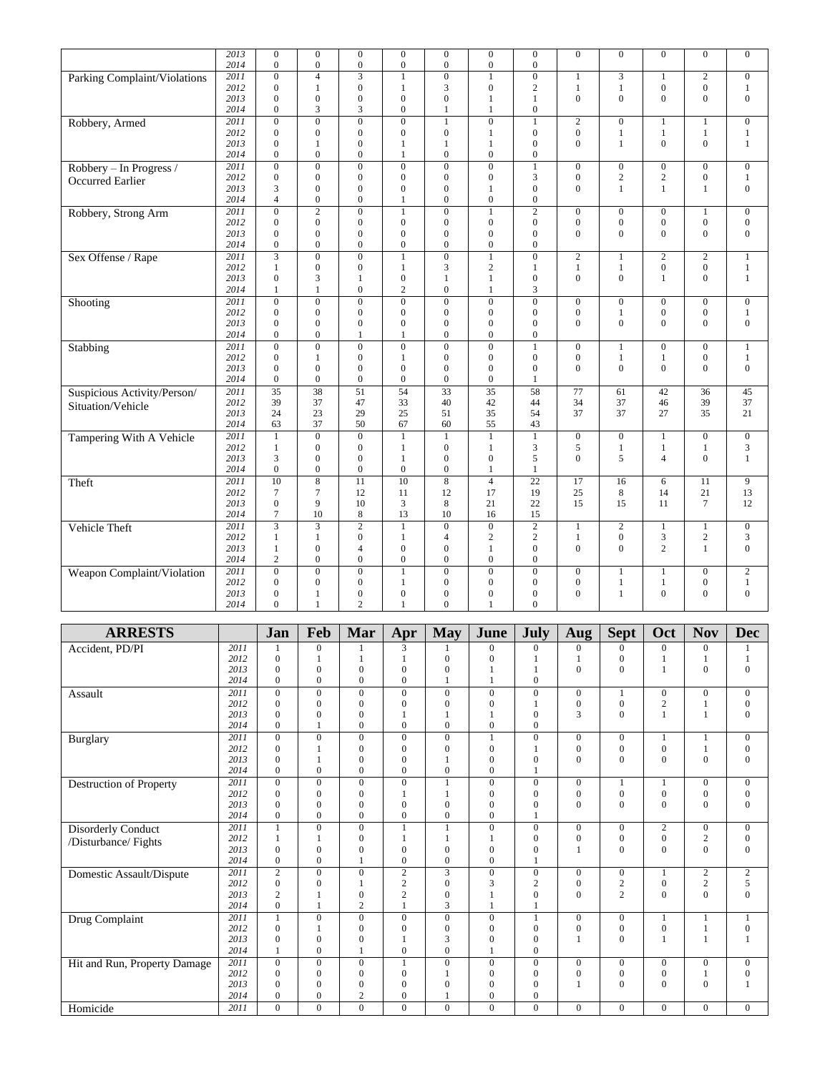|                              | 2013         | $\mathbf{0}$            | $\mathbf{0}$     | $\overline{0}$   | $\mathbf{0}$     | $\overline{0}$   | $\mathbf{0}$     | $\overline{0}$   | $\Omega$                     | $\Omega$         | $\mathbf{0}$     | $\overline{0}$               | $\mathbf{0}$                 |
|------------------------------|--------------|-------------------------|------------------|------------------|------------------|------------------|------------------|------------------|------------------------------|------------------|------------------|------------------------------|------------------------------|
|                              | 2014         | $\mathbf{0}$            | $\boldsymbol{0}$ | $\boldsymbol{0}$ | $\boldsymbol{0}$ | $\boldsymbol{0}$ | $\boldsymbol{0}$ | 0                |                              |                  |                  |                              |                              |
| Parking Complaint/Violations | 2011         | $\mathbf{0}$            | $\overline{4}$   | $\overline{3}$   | $\mathbf{1}$     | $\overline{0}$   | $\mathbf{1}$     | $\overline{0}$   | $\mathbf{1}$                 | 3                | $\mathbf{1}$     | $\overline{c}$               | $\boldsymbol{0}$             |
|                              | 2012         | $\mathbf{0}$            | 1                | $\mathbf{0}$     | 1                | 3                | $\boldsymbol{0}$ | $\overline{c}$   | 1                            | $\mathbf{1}$     | $\mathbf{0}$     | $\boldsymbol{0}$             | 1                            |
|                              | 2013         | $\Omega$                | $\overline{0}$   | $\mathbf{0}$     | $\overline{0}$   | $\mathbf{0}$     | 1                | $\mathbf{1}$     | $\overline{0}$               | $\theta$         | $\theta$         | $\mathbf{0}$                 | $\mathbf{0}$                 |
|                              | 2014         | $\mathbf{0}$            | 3                | 3                | $\overline{0}$   | $\mathbf{1}$     | $\mathbf{1}$     | $\overline{0}$   |                              |                  |                  |                              |                              |
| Robbery, Armed               | 2011         | $\overline{0}$          | $\overline{0}$   | $\overline{0}$   | $\overline{0}$   | $\mathbf{1}$     | $\overline{0}$   | 1                | $\overline{2}$               | $\overline{0}$   | $\mathbf{1}$     | 1                            | $\boldsymbol{0}$             |
|                              | 2012         | $\mathbf{0}$            | $\overline{0}$   | $\overline{0}$   | $\overline{0}$   | $\boldsymbol{0}$ | $\mathbf{1}$     | $\boldsymbol{0}$ | $\boldsymbol{0}$             | 1                | $\mathbf{1}$     | $\mathbf{1}$                 | $\mathbf{1}$                 |
|                              | 2013         | $\Omega$                | 1                | $\overline{0}$   | 1                | $\mathbf{1}$     | 1                | $\overline{0}$   | $\Omega$                     | $\mathbf{1}$     | $\theta$         | $\mathbf{0}$                 | $\mathbf{1}$                 |
|                              | 2014         | $\Omega$                | $\Omega$         | $\Omega$         | 1                | $\mathbf{0}$     | $\mathbf{0}$     | $\overline{0}$   |                              |                  |                  |                              |                              |
| Robbery - In Progress /      | 2011         | $\mathbf{0}$            | $\overline{0}$   | $\mathbf{0}$     | $\overline{0}$   | $\boldsymbol{0}$ | $\overline{0}$   | 1                | $\boldsymbol{0}$             | $\boldsymbol{0}$ | $\boldsymbol{0}$ | $\boldsymbol{0}$             | $\boldsymbol{0}$             |
| Occurred Earlier             | 2012         | $\mathbf{0}$            | $\Omega$         | $\overline{0}$   | $\theta$         | $\mathbf{0}$     | $\theta$         | 3                | $\mathbf{0}$                 | $\overline{2}$   | $\overline{c}$   | $\mathbf{0}$                 | $\mathbf{1}$                 |
|                              | 2013         | 3                       | $\mathbf{0}$     | $\mathbf{0}$     | $\overline{0}$   | $\boldsymbol{0}$ | 1                | $\overline{0}$   | $\mathbf{0}$                 | $\mathbf{1}$     | $\mathbf{1}$     | $\mathbf{1}$                 | $\boldsymbol{0}$             |
|                              | 2014         | $\overline{4}$          | $\overline{0}$   | $\theta$         | 1                | $\mathbf{0}$     | $\overline{0}$   | $\overline{0}$   |                              |                  |                  |                              |                              |
| Robbery, Strong Arm          | 2011         | $\mathbf{0}$            | $\overline{2}$   | $\overline{0}$   | $\mathbf{1}$     | $\overline{0}$   | $\mathbf{1}$     | $\overline{2}$   | $\mathbf{0}$                 | $\overline{0}$   | $\mathbf{0}$     | 1                            | $\mathbf{0}$                 |
|                              | 2012         | $\mathbf{0}$            | $\overline{0}$   | $\mathbf{0}$     | $\overline{0}$   | $\boldsymbol{0}$ | $\mathbf{0}$     | $\overline{0}$   | $\boldsymbol{0}$             | $\boldsymbol{0}$ | $\boldsymbol{0}$ | $\boldsymbol{0}$             | $\boldsymbol{0}$             |
|                              | 2013         | $\Omega$                | $\overline{0}$   | $\overline{0}$   | $\overline{0}$   | $\mathbf{0}$     | $\Omega$         | $\overline{0}$   | $\mathbf{0}$                 | $\theta$         | $\theta$         | $\mathbf{0}$                 | $\mathbf{0}$                 |
|                              | 2014         | $\mathbf{0}$            | $\overline{0}$   | $\overline{0}$   | $\overline{0}$   | $\boldsymbol{0}$ | $\overline{0}$   | $\overline{0}$   |                              |                  |                  |                              |                              |
| Sex Offense / Rape           | 2011         | $\overline{\mathbf{3}}$ | $\overline{0}$   | $\overline{0}$   | $\mathbf{1}$     | $\overline{0}$   | $\mathbf{1}$     | $\mathbf{0}$     | 2                            | $\mathbf{1}$     | $\overline{c}$   | $\overline{2}$               | $\mathbf{1}$                 |
|                              | 2012         | 1                       | $\theta$         | $\overline{0}$   | $\mathbf{1}$     | 3                | $\mathbf{2}$     | $\mathbf{1}$     | $\mathbf{1}$                 | $\mathbf{1}$     | $\overline{0}$   | $\mathbf{0}$                 | $\mathbf{1}$                 |
|                              | 2013         | $\mathbf{0}$            | 3                | 1                | $\mathbf{0}$     | $\mathbf{1}$     | 1                | $\boldsymbol{0}$ | $\mathbf{0}$                 | $\overline{0}$   | $\mathbf{1}$     | $\mathbf{0}$                 | $\mathbf{1}$                 |
|                              | 2014         | $\mathbf{1}$            | $\mathbf{1}$     | $\mathbf{0}$     | $\overline{c}$   | $\mathbf{0}$     | $\mathbf{1}$     | 3                |                              |                  |                  |                              |                              |
|                              | 2011         | $\overline{0}$          | $\overline{0}$   | $\overline{0}$   | $\overline{0}$   | $\overline{0}$   | $\overline{0}$   | $\overline{0}$   | $\overline{0}$               | $\overline{0}$   | $\overline{0}$   | $\mathbf{0}$                 | $\overline{0}$               |
| Shooting                     |              | $\Omega$                | $\mathbf{0}$     | $\mathbf{0}$     | $\mathbf{0}$     | $\mathbf{0}$     | $\theta$         | $\overline{0}$   |                              |                  | $\mathbf{0}$     |                              |                              |
|                              | 2012<br>2013 | $\Omega$                | $\theta$         | $\mathbf{0}$     | $\overline{0}$   | $\mathbf{0}$     | $\Omega$         | $\overline{0}$   | $\boldsymbol{0}$<br>$\Omega$ | 1<br>$\Omega$    | $\theta$         | $\boldsymbol{0}$<br>$\theta$ | $\mathbf{1}$<br>$\mathbf{0}$ |
|                              | 2014         | $\Omega$                | $\Omega$         | $\mathbf{1}$     | $\mathbf{1}$     | $\Omega$         | $\Omega$         | $\Omega$         |                              |                  |                  |                              |                              |
|                              |              |                         |                  |                  |                  |                  |                  |                  |                              |                  |                  |                              |                              |
| Stabbing                     | 2011         | $\overline{0}$          | $\overline{0}$   | $\overline{0}$   | $\overline{0}$   | $\overline{0}$   | $\overline{0}$   | 1                | $\overline{0}$               | $\mathbf{1}$     | $\overline{0}$   | $\boldsymbol{0}$             | $\mathbf{1}$                 |
|                              | 2012         | $\Omega$                | 1                | $\mathbf{0}$     | $\mathbf{1}$     | $\mathbf{0}$     | $\theta$         | $\overline{0}$   | $\mathbf{0}$                 | $\mathbf{1}$     | $\mathbf{1}$     | $\mathbf{0}$                 | $\mathbf{1}$                 |
|                              | 2013         | $\Omega$                | $\theta$         | $\mathbf{0}$     | $\Omega$         | $\mathbf{0}$     | $\Omega$         | $\Omega$         | $\overline{0}$               | $\Omega$         | $\theta$         | $\Omega$                     | $\mathbf{0}$                 |
|                              | 2014         | $\mathbf{0}$            | $\overline{0}$   | $\overline{0}$   | $\overline{0}$   | $\mathbf{0}$     | $\mathbf{0}$     | 1                |                              |                  |                  |                              |                              |
| Suspicious Activity/Person/  | 2011         | $\overline{35}$         | 38               | $\overline{51}$  | $\overline{54}$  | $\overline{33}$  | $\overline{35}$  | 58               | $\overline{77}$              | 61               | $\overline{42}$  | $\frac{36}{3}$               | 45                           |
| Situation/Vehicle            | 2012         | 39                      | 37               | 47               | 33               | 40               | 42               | 44               | 34                           | 37               | 46               | 39                           | 37                           |
|                              | 2013         | 24                      | 23               | 29               | 25               | 51               | 35               | 54               | 37                           | 37               | 27               | 35                           | 21                           |
|                              | 2014         | 63                      | 37               | 50               | 67               | 60               | 55               | 43               |                              |                  |                  |                              |                              |
| Tampering With A Vehicle     | 2011         | $\mathbf{1}$            | $\overline{0}$   | $\overline{0}$   | $\mathbf{1}$     | $\mathbf{1}$     | $\mathbf{1}$     | $\mathbf{1}$     | $\mathbf{0}$                 | $\overline{0}$   | 1                | $\mathbf{0}$                 | $\mathbf{0}$                 |
|                              | 2012         | 1                       | $\overline{0}$   | $\overline{0}$   | $\mathbf{1}$     | $\boldsymbol{0}$ | $\mathbf{1}$     | 3                | 5                            | $\mathbf{1}$     | $\mathbf{1}$     | $\mathbf{1}$                 | 3                            |
|                              | 2013         | 3                       | $\overline{0}$   | $\overline{0}$   | $\mathbf{1}$     | $\mathbf{0}$     | $\overline{0}$   | 5                | $\theta$                     | 5                | $\overline{4}$   | $\mathbf{0}$                 | $\mathbf{1}$                 |
|                              | 2014         | $\mathbf{0}$            | $\boldsymbol{0}$ | $\mathbf{0}$     | $\boldsymbol{0}$ | $\boldsymbol{0}$ | 1                | $\mathbf{1}$     |                              |                  |                  |                              |                              |
| Theft                        | 2011         | 10                      | $\overline{8}$   | $\overline{11}$  | 10               | $\overline{8}$   | $\overline{4}$   | $\overline{22}$  | $\overline{17}$              | 16               | 6                | 11                           | $\overline{9}$               |
|                              | 2012         | $7\phantom{.0}$         | $\overline{7}$   | 12               | 11               | 12               | 17               | 19               | 25                           | 8                | 14               | 21                           | 13                           |
|                              | 2013         | $\mathbf{0}$            | 9                | 10               | 3                | 8                | 21               | 22               | 15                           | 15               | 11               | $\tau$                       | 12                           |
|                              | 2014         | $\tau$                  | 10               | $\,$ 8 $\,$      | 13               | 10               | 16               | 15               |                              |                  |                  |                              |                              |
| Vehicle Theft                | 2011         | $\overline{3}$          | $\overline{3}$   | $\overline{2}$   | $\mathbf{1}$     | $\overline{0}$   | $\overline{0}$   | $\overline{2}$   | $\mathbf{1}$                 | $\overline{2}$   | $\mathbf{1}$     | $\mathbf{1}$                 | $\boldsymbol{0}$             |
|                              | 2012         | 1                       | $\mathbf{1}$     | $\mathbf{0}$     | $\mathbf{1}$     | $\overline{4}$   | $\mathbf{2}$     | $\overline{c}$   | $\mathbf{1}$                 | $\boldsymbol{0}$ | 3                | $\mathbf{2}$                 | 3                            |
|                              | 2013         | $\mathbf{1}$            | $\overline{0}$   | $\overline{4}$   | $\overline{0}$   | $\overline{0}$   | $\mathbf{1}$     | $\overline{0}$   | $\overline{0}$               | $\overline{0}$   | $\overline{c}$   | $\mathbf{1}$                 | $\overline{0}$               |
|                              | 2014         | 2                       | $\mathbf{0}$     | $\mathbf{0}$     | $\mathbf{0}$     | $\boldsymbol{0}$ | $\overline{0}$   | $\overline{0}$   |                              |                  |                  |                              |                              |
| Weapon Complaint/Violation   | 2011         | $\overline{0}$          | $\overline{0}$   | $\overline{0}$   | $\mathbf{1}$     | $\overline{0}$   | $\overline{0}$   | $\overline{0}$   | $\boldsymbol{0}$             | 1                | $\mathbf{1}$     | $\boldsymbol{0}$             | $\overline{2}$               |
|                              | 2012         | $\mathbf{0}$            | $\overline{0}$   | $\mathbf{0}$     | 1                | $\mathbf{0}$     | $\overline{0}$   | $\overline{0}$   | $\mathbf{0}$                 | $\mathbf{1}$     | $\mathbf{1}$     | $\boldsymbol{0}$             | $\mathbf{1}$                 |
|                              | 2013         | $\mathbf{0}$            | 1                | $\mathbf{0}$     | $\mathbf{0}$     | $\mathbf{0}$     | $\mathbf{0}$     | $\overline{0}$   | $\overline{0}$               | 1                | $\mathbf{0}$     | $\mathbf{0}$                 | $\mathbf{0}$                 |
|                              | 2014         | $\Omega$                | 1                | $\overline{c}$   | 1                | $\Omega$         | 1                | $\overline{0}$   |                              |                  |                  |                              |                              |
|                              |              |                         |                  |                  |                  |                  |                  |                  |                              |                  |                  |                              |                              |

| <b>ARRESTS</b>               |      | Jan            | Feb          | Mar              | Apr            | <b>May</b>   | June             | <b>July</b>    | Aug            | <b>Sept</b>    | Oct              | <b>Nov</b>              | <b>Dec</b>       |
|------------------------------|------|----------------|--------------|------------------|----------------|--------------|------------------|----------------|----------------|----------------|------------------|-------------------------|------------------|
| Accident, PD/PI              | 2011 | 1              | $\mathbf{0}$ |                  | 3              |              | $\Omega$         | $\Omega$       | $\Omega$       | $\Omega$       | $\mathbf{0}$     | $\mathbf{0}$            |                  |
|                              | 2012 | $\Omega$       | 1            | $\mathbf{1}$     | $\mathbf{1}$   | $\Omega$     | $\Omega$         |                |                | $\Omega$       |                  |                         | 1                |
|                              | 2013 | $\Omega$       | $\Omega$     | $\theta$         | $\mathbf{0}$   | $\Omega$     | $\mathbf{1}$     | 1              | $\Omega$       | $\Omega$       | $\mathbf{1}$     | $\mathbf{0}$            | $\mathbf{0}$     |
|                              | 2014 | $\Omega$       | $\Omega$     | $\theta$         | $\mathbf{0}$   |              | $\mathbf{1}$     | $\overline{0}$ |                |                |                  |                         |                  |
| Assault                      | 2011 | $\Omega$       | $\Omega$     | $\mathbf{0}$     | $\mathbf{0}$   | $\Omega$     | $\Omega$         | $\overline{0}$ | $\mathbf{0}$   | 1              | $\mathbf{0}$     | $\mathbf{0}$            | $\mathbf{0}$     |
|                              | 2012 | $\Omega$       | $\Omega$     | $\Omega$         | $\mathbf{0}$   | $\Omega$     | $\mathbf{0}$     |                | $\mathbf{0}$   | $\overline{0}$ | $\overline{c}$   |                         | $\boldsymbol{0}$ |
|                              | 2013 | $\Omega$       | $\Omega$     | $\Omega$         | $\mathbf{1}$   |              | 1                | $\overline{0}$ | 3              | $\Omega$       | $\mathbf{1}$     | 1                       | $\mathbf{0}$     |
|                              | 2014 | $\Omega$       | 1            | $\mathbf{0}$     | $\mathbf{0}$   | $\mathbf{0}$ | $\mathbf{0}$     | $\mathbf{0}$   |                |                |                  |                         |                  |
| <b>Burglary</b>              | 2011 | $\Omega$       | $\Omega$     | $\mathbf{0}$     | $\mathbf{0}$   | $\Omega$     | $\mathbf{1}$     | $\overline{0}$ | $\Omega$       | $\overline{0}$ |                  |                         | $\boldsymbol{0}$ |
|                              | 2012 | $\Omega$       | $\mathbf{1}$ | $\mathbf{0}$     | $\mathbf{0}$   | $\mathbf{0}$ | $\mathbf{0}$     |                | $\mathbf{0}$   | $\overline{0}$ | $\overline{0}$   |                         | $\boldsymbol{0}$ |
|                              | 2013 | $\Omega$       |              | $\overline{0}$   | $\mathbf{0}$   |              | $\overline{0}$   | $\overline{0}$ | $\mathbf{0}$   | $\theta$       | $\overline{0}$   | $\overline{0}$          | $\mathbf{0}$     |
|                              | 2014 | $\overline{0}$ | $\mathbf{0}$ | $\overline{0}$   | $\mathbf{0}$   | $\mathbf{0}$ | $\overline{0}$   |                |                |                |                  |                         |                  |
| Destruction of Property      | 2011 | $\Omega$       | $\Omega$     | $\boldsymbol{0}$ | $\overline{0}$ | 1            | $\mathbf{0}$     | $\overline{0}$ | $\mathbf{0}$   | 1              | 1                | $\mathbf{0}$            | $\boldsymbol{0}$ |
|                              | 2012 | $\Omega$       | $\Omega$     | $\boldsymbol{0}$ | 1              |              | $\mathbf{0}$     | $\mathbf{0}$   | $\mathbf{0}$   | $\mathbf{0}$   | $\boldsymbol{0}$ | 0                       | $\boldsymbol{0}$ |
|                              | 2013 | $\Omega$       | $\Omega$     | $\overline{0}$   | $\mathbf{0}$   | $\mathbf{0}$ | $\overline{0}$   | $\mathbf{0}$   | $\mathbf{0}$   | $\Omega$       | $\overline{0}$   | 0                       | $\mathbf{0}$     |
|                              | 2014 | $\mathbf{0}$   | $\mathbf{0}$ | $\mathbf{0}$     | $\mathbf{0}$   | $\mathbf{0}$ | $\mathbf{0}$     |                |                |                |                  |                         |                  |
| Disorderly Conduct           | 2011 |                | $\Omega$     | $\boldsymbol{0}$ | $\mathbf{1}$   |              | $\boldsymbol{0}$ | $\overline{0}$ | $\mathbf{0}$   | $\overline{0}$ | $\sqrt{2}$       | $\overline{0}$          | $\boldsymbol{0}$ |
| /Disturbance/ Fights         | 2012 |                | 1            | $\overline{0}$   | 1              |              | $\mathbf{1}$     | $\mathbf{0}$   | $\mathbf{0}$   | $\overline{0}$ | $\overline{0}$   | $\overline{c}$          | $\boldsymbol{0}$ |
|                              | 2013 | $\Omega$       | $\Omega$     | $\theta$         | $\mathbf{0}$   | $\mathbf{0}$ | $\mathbf{0}$     | $\mathbf{0}$   | $\mathbf{1}$   | $\Omega$       | $\Omega$         | $\mathbf{0}$            | $\mathbf{0}$     |
|                              | 2014 | $\overline{0}$ | $\mathbf{0}$ |                  | $\mathbf{0}$   | $\mathbf{0}$ | $\mathbf{0}$     |                |                |                |                  |                         |                  |
| Domestic Assault/Dispute     | 2011 | $\overline{2}$ | $\Omega$     | $\mathbf{0}$     | $\overline{c}$ | 3            | $\mathbf{0}$     | $\overline{0}$ | $\overline{0}$ | $\mathbf{0}$   | 1                | $\overline{c}$          | $\overline{c}$   |
|                              | 2012 | $\Omega$       | $\Omega$     |                  | $\mathbf{2}$   | $\Omega$     | 3                | $\overline{c}$ | $\mathbf{0}$   | $\overline{c}$ | $\boldsymbol{0}$ | $\overline{\mathbf{c}}$ | 5                |
|                              | 2013 | $\overline{2}$ |              | $\theta$         | $\overline{c}$ | $\Omega$     |                  | $\mathbf{0}$   | $\Omega$       | $\overline{c}$ | $\Omega$         | $\mathbf{0}$            | $\mathbf{0}$     |
|                              | 2014 | $\overline{0}$ | 1            | $\overline{2}$   | $\mathbf{1}$   | 3            |                  |                |                |                |                  |                         |                  |
| Drug Complaint               | 2011 |                | $\mathbf{0}$ | $\mathbf{0}$     | $\mathbf{0}$   | $\mathbf{0}$ | $\mathbf{0}$     |                | $\mathbf{0}$   | $\overline{0}$ | $\mathbf{1}$     |                         | $\mathbf{1}$     |
|                              | 2012 | $\Omega$       | 1            | $\mathbf{0}$     | $\mathbf{0}$   | $\mathbf{0}$ | $\mathbf{0}$     | $\overline{0}$ | $\mathbf{0}$   | $\Omega$       | $\mathbf{0}$     |                         | $\boldsymbol{0}$ |
|                              | 2013 | $\Omega$       | $\Omega$     | $\Omega$         |                | 3            | $\theta$         | $\mathbf{0}$   | $\mathbf{1}$   | $\Omega$       | $\mathbf{1}$     |                         | $\mathbf{1}$     |
|                              | 2014 |                | $\Omega$     | $\mathbf{1}$     | $\mathbf{0}$   | $\Omega$     | $\mathbf{1}$     | $\overline{0}$ |                |                |                  |                         |                  |
| Hit and Run, Property Damage | 2011 | $\Omega$       | $\mathbf{0}$ | $\mathbf{0}$     | $\mathbf{1}$   | $\mathbf{0}$ | $\mathbf{0}$     | $\overline{0}$ | $\overline{0}$ | $\mathbf{0}$   | $\mathbf{0}$     | $\overline{0}$          | $\boldsymbol{0}$ |
|                              | 2012 | $\Omega$       | $\Omega$     | $\mathbf{0}$     | $\overline{0}$ |              | $\mathbf{0}$     | $\mathbf{0}$   | $\mathbf{0}$   | $\mathbf{0}$   | $\mathbf{0}$     |                         | $\boldsymbol{0}$ |
|                              | 2013 | $\Omega$       | $\Omega$     | $\mathbf{0}$     | $\mathbf{0}$   | $\Omega$     | $\Omega$         | $\mathbf{0}$   | 1              | $\Omega$       | $\Omega$         | $\Omega$                | $\mathbf{1}$     |
|                              | 2014 | $\Omega$       | $\Omega$     | 2                | $\mathbf{0}$   |              | $\mathbf{0}$     | $\overline{0}$ |                |                |                  |                         |                  |
| Homicide                     | 2011 | $\Omega$       | $\Omega$     | $\Omega$         | $\mathbf{0}$   | $\Omega$     | $\mathbf{0}$     | $\overline{0}$ | $\Omega$       | $\overline{0}$ | $\mathbf{0}$     | $\overline{0}$          | $\mathbf{0}$     |